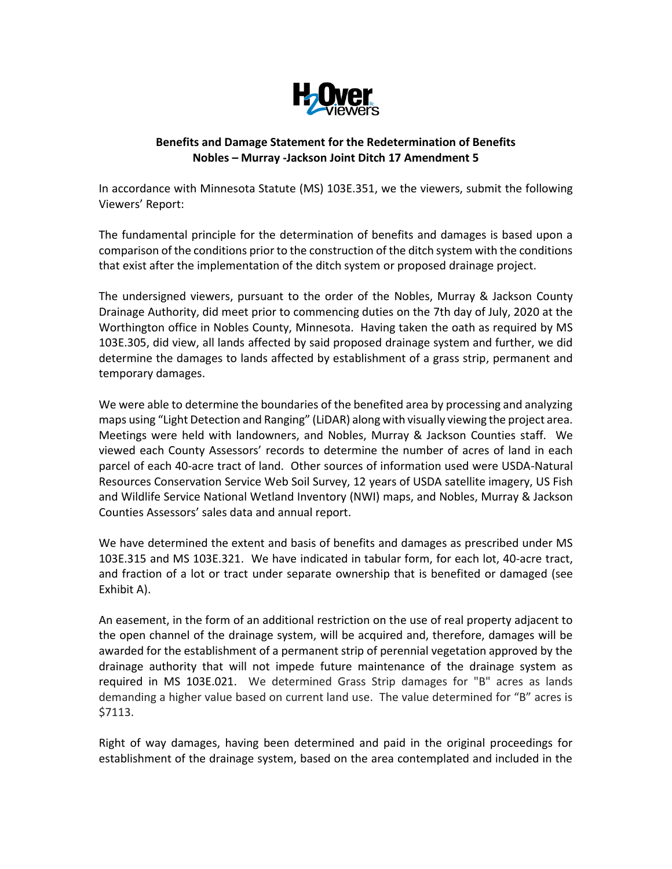

# **Benefits and Damage Statement for the Redetermination of Benefits Nobles – Murray -Jackson Joint Ditch 17 Amendment 5**

In accordance with Minnesota Statute (MS) 103E.351, we the viewers, submit the following Viewers' Report:

The fundamental principle for the determination of benefits and damages is based upon a comparison of the conditions prior to the construction of the ditch system with the conditions that exist after the implementation of the ditch system or proposed drainage project.

The undersigned viewers, pursuant to the order of the Nobles, Murray & Jackson County Drainage Authority, did meet prior to commencing duties on the 7th day of July, 2020 at the Worthington office in Nobles County, Minnesota. Having taken the oath as required by MS 103E.305, did view, all lands affected by said proposed drainage system and further, we did determine the damages to lands affected by establishment of a grass strip, permanent and temporary damages.

We were able to determine the boundaries of the benefited area by processing and analyzing maps using "Light Detection and Ranging" (LiDAR) along with visually viewing the project area. Meetings were held with landowners, and Nobles, Murray & Jackson Counties staff. We viewed each County Assessors' records to determine the number of acres of land in each parcel of each 40-acre tract of land. Other sources of information used were USDA-Natural Resources Conservation Service Web Soil Survey, 12 years of USDA satellite imagery, US Fish and Wildlife Service National Wetland Inventory (NWI) maps, and Nobles, Murray & Jackson Counties Assessors' sales data and annual report.

We have determined the extent and basis of benefits and damages as prescribed under MS 103E.315 and MS 103E.321. We have indicated in tabular form, for each lot, 40-acre tract, and fraction of a lot or tract under separate ownership that is benefited or damaged (see Exhibit A).

An easement, in the form of an additional restriction on the use of real property adjacent to the open channel of the drainage system, will be acquired and, therefore, damages will be awarded for the establishment of a permanent strip of perennial vegetation approved by the drainage authority that will not impede future maintenance of the drainage system as required in MS 103E.021. We determined Grass Strip damages for "B" acres as lands demanding a higher value based on current land use. The value determined for "B" acres is \$7113.

Right of way damages, having been determined and paid in the original proceedings for establishment of the drainage system, based on the area contemplated and included in the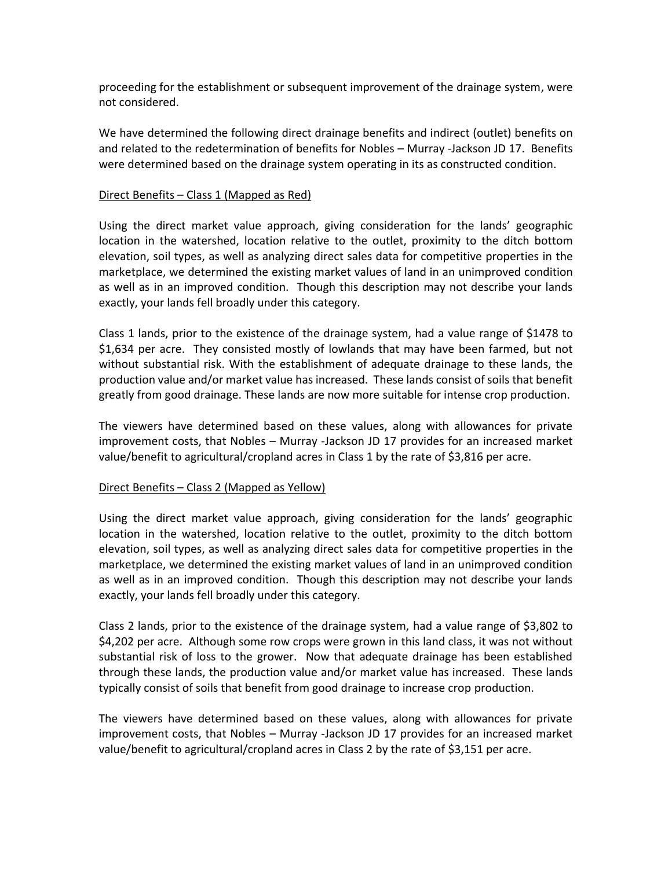proceeding for the establishment or subsequent improvement of the drainage system, were not considered.

We have determined the following direct drainage benefits and indirect (outlet) benefits on and related to the redetermination of benefits for Nobles – Murray -Jackson JD 17. Benefits were determined based on the drainage system operating in its as constructed condition.

#### Direct Benefits – Class 1 (Mapped as Red)

Using the direct market value approach, giving consideration for the lands' geographic location in the watershed, location relative to the outlet, proximity to the ditch bottom elevation, soil types, as well as analyzing direct sales data for competitive properties in the marketplace, we determined the existing market values of land in an unimproved condition as well as in an improved condition. Though this description may not describe your lands exactly, your lands fell broadly under this category.

Class 1 lands, prior to the existence of the drainage system, had a value range of \$1478 to \$1,634 per acre. They consisted mostly of lowlands that may have been farmed, but not without substantial risk. With the establishment of adequate drainage to these lands, the production value and/or market value has increased. These lands consist of soils that benefit greatly from good drainage. These lands are now more suitable for intense crop production.

The viewers have determined based on these values, along with allowances for private improvement costs, that Nobles – Murray -Jackson JD 17 provides for an increased market value/benefit to agricultural/cropland acres in Class 1 by the rate of \$3,816 per acre.

### Direct Benefits – Class 2 (Mapped as Yellow)

Using the direct market value approach, giving consideration for the lands' geographic location in the watershed, location relative to the outlet, proximity to the ditch bottom elevation, soil types, as well as analyzing direct sales data for competitive properties in the marketplace, we determined the existing market values of land in an unimproved condition as well as in an improved condition. Though this description may not describe your lands exactly, your lands fell broadly under this category.

Class 2 lands, prior to the existence of the drainage system, had a value range of \$3,802 to \$4,202 per acre. Although some row crops were grown in this land class, it was not without substantial risk of loss to the grower. Now that adequate drainage has been established through these lands, the production value and/or market value has increased. These lands typically consist of soils that benefit from good drainage to increase crop production.

The viewers have determined based on these values, along with allowances for private improvement costs, that Nobles – Murray -Jackson JD 17 provides for an increased market value/benefit to agricultural/cropland acres in Class 2 by the rate of \$3,151 per acre.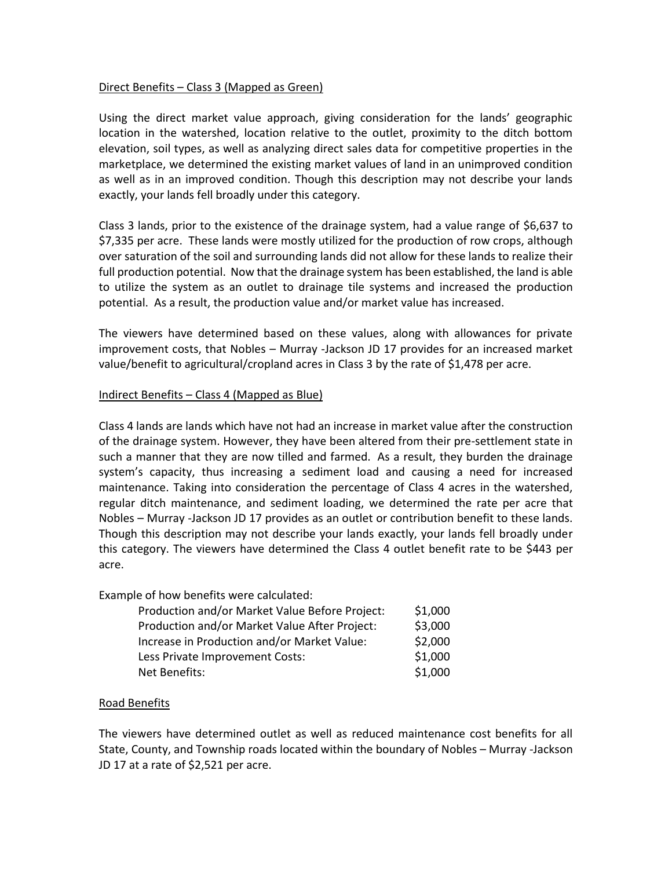## Direct Benefits – Class 3 (Mapped as Green)

Using the direct market value approach, giving consideration for the lands' geographic location in the watershed, location relative to the outlet, proximity to the ditch bottom elevation, soil types, as well as analyzing direct sales data for competitive properties in the marketplace, we determined the existing market values of land in an unimproved condition as well as in an improved condition. Though this description may not describe your lands exactly, your lands fell broadly under this category.

Class 3 lands, prior to the existence of the drainage system, had a value range of \$6,637 to \$7,335 per acre. These lands were mostly utilized for the production of row crops, although over saturation of the soil and surrounding lands did not allow for these lands to realize their full production potential. Now that the drainage system has been established, the land is able to utilize the system as an outlet to drainage tile systems and increased the production potential. As a result, the production value and/or market value has increased.

The viewers have determined based on these values, along with allowances for private improvement costs, that Nobles – Murray -Jackson JD 17 provides for an increased market value/benefit to agricultural/cropland acres in Class 3 by the rate of \$1,478 per acre.

## Indirect Benefits – Class 4 (Mapped as Blue)

Class 4 lands are lands which have not had an increase in market value after the construction of the drainage system. However, they have been altered from their pre-settlement state in such a manner that they are now tilled and farmed. As a result, they burden the drainage system's capacity, thus increasing a sediment load and causing a need for increased maintenance. Taking into consideration the percentage of Class 4 acres in the watershed, regular ditch maintenance, and sediment loading, we determined the rate per acre that Nobles – Murray -Jackson JD 17 provides as an outlet or contribution benefit to these lands. Though this description may not describe your lands exactly, your lands fell broadly under this category. The viewers have determined the Class 4 outlet benefit rate to be \$443 per acre.

Example of how benefits were calculated:

| Production and/or Market Value Before Project: | \$1,000 |
|------------------------------------------------|---------|
| Production and/or Market Value After Project:  | \$3,000 |
| Increase in Production and/or Market Value:    | \$2,000 |
| Less Private Improvement Costs:                | \$1,000 |
| Net Benefits:                                  | \$1,000 |

# Road Benefits

The viewers have determined outlet as well as reduced maintenance cost benefits for all State, County, and Township roads located within the boundary of Nobles – Murray -Jackson JD 17 at a rate of \$2,521 per acre.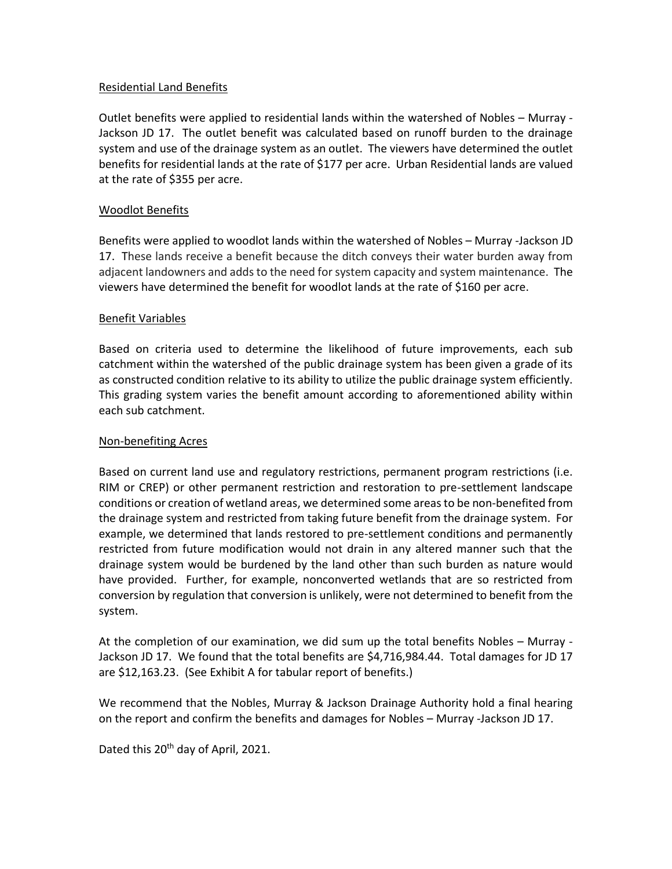## Residential Land Benefits

Outlet benefits were applied to residential lands within the watershed of Nobles – Murray - Jackson JD 17. The outlet benefit was calculated based on runoff burden to the drainage system and use of the drainage system as an outlet. The viewers have determined the outlet benefits for residential lands at the rate of \$177 per acre. Urban Residential lands are valued at the rate of \$355 per acre.

### Woodlot Benefits

Benefits were applied to woodlot lands within the watershed of Nobles – Murray -Jackson JD 17. These lands receive a benefit because the ditch conveys their water burden away from adjacent landowners and adds to the need for system capacity and system maintenance. The viewers have determined the benefit for woodlot lands at the rate of \$160 per acre.

### Benefit Variables

Based on criteria used to determine the likelihood of future improvements, each sub catchment within the watershed of the public drainage system has been given a grade of its as constructed condition relative to its ability to utilize the public drainage system efficiently. This grading system varies the benefit amount according to aforementioned ability within each sub catchment.

### Non-benefiting Acres

Based on current land use and regulatory restrictions, permanent program restrictions (i.e. RIM or CREP) or other permanent restriction and restoration to pre-settlement landscape conditions or creation of wetland areas, we determined some areas to be non-benefited from the drainage system and restricted from taking future benefit from the drainage system. For example, we determined that lands restored to pre-settlement conditions and permanently restricted from future modification would not drain in any altered manner such that the drainage system would be burdened by the land other than such burden as nature would have provided. Further, for example, nonconverted wetlands that are so restricted from conversion by regulation that conversion is unlikely, were not determined to benefit from the system.

At the completion of our examination, we did sum up the total benefits Nobles – Murray - Jackson JD 17. We found that the total benefits are \$4,716,984.44. Total damages for JD 17 are \$12,163.23. (See Exhibit A for tabular report of benefits.)

We recommend that the Nobles, Murray & Jackson Drainage Authority hold a final hearing on the report and confirm the benefits and damages for Nobles – Murray -Jackson JD 17.

Dated this 20<sup>th</sup> day of April, 2021.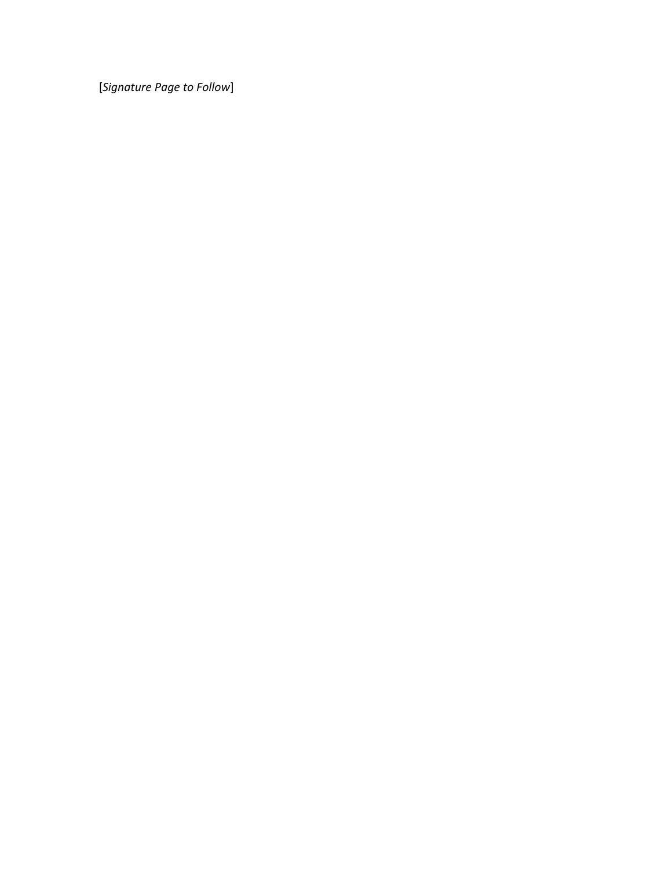[*Signature Page to Follow*]